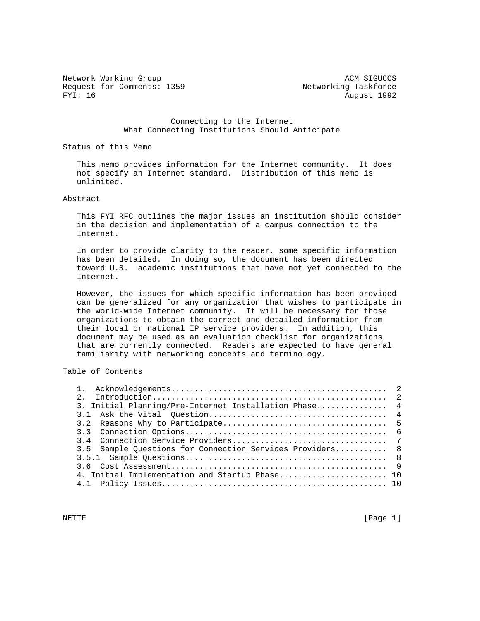Network Working Group and the state of the state of the state of the state of the state of the state of the state of the state of the state of the state of the state of the state of the state of the state of the state of t Request for Comments: 1359<br>FYI: 16 August 1992

August 1992

 Connecting to the Internet What Connecting Institutions Should Anticipate

Status of this Memo

 This memo provides information for the Internet community. It does not specify an Internet standard. Distribution of this memo is unlimited.

# Abstract

 This FYI RFC outlines the major issues an institution should consider in the decision and implementation of a campus connection to the Internet.

 In order to provide clarity to the reader, some specific information has been detailed. In doing so, the document has been directed toward U.S. academic institutions that have not yet connected to the Internet.

 However, the issues for which specific information has been provided can be generalized for any organization that wishes to participate in the world-wide Internet community. It will be necessary for those organizations to obtain the correct and detailed information from their local or national IP service providers. In addition, this document may be used as an evaluation checklist for organizations that are currently connected. Readers are expected to have general familiarity with networking concepts and terminology.

# Table of Contents

| 3. Initial Planning/Pre-Internet Installation Phase 4    |  |
|----------------------------------------------------------|--|
|                                                          |  |
|                                                          |  |
|                                                          |  |
|                                                          |  |
| 3.5 Sample Ouestions for Connection Services Providers 8 |  |
|                                                          |  |
|                                                          |  |
| 4. Initial Implementation and Startup Phase 10           |  |
|                                                          |  |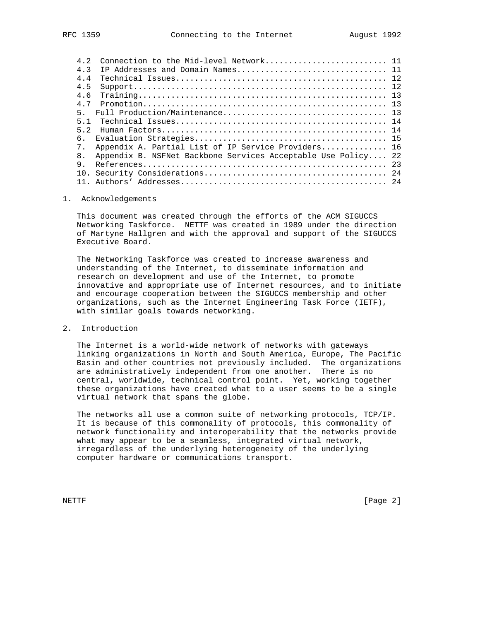| 4 2              |                                                               |  |
|------------------|---------------------------------------------------------------|--|
| $4 \overline{3}$ |                                                               |  |
| 4 4              |                                                               |  |
| 4.5              |                                                               |  |
| 4.6              |                                                               |  |
| 4 7              |                                                               |  |
| 5.               |                                                               |  |
| 5 1              |                                                               |  |
| 5 2              |                                                               |  |
| б.               |                                                               |  |
| 7 <sub>1</sub>   | Appendix A. Partial List of IP Service Providers 16           |  |
| 8 <sub>1</sub>   | Appendix B. NSFNet Backbone Services Acceptable Use Policy 22 |  |
| 9                |                                                               |  |
| 10 <sub>1</sub>  |                                                               |  |
|                  |                                                               |  |

### 1. Acknowledgements

 This document was created through the efforts of the ACM SIGUCCS Networking Taskforce. NETTF was created in 1989 under the direction of Martyne Hallgren and with the approval and support of the SIGUCCS Executive Board.

 The Networking Taskforce was created to increase awareness and understanding of the Internet, to disseminate information and research on development and use of the Internet, to promote innovative and appropriate use of Internet resources, and to initiate and encourage cooperation between the SIGUCCS membership and other organizations, such as the Internet Engineering Task Force (IETF), with similar goals towards networking.

2. Introduction

 The Internet is a world-wide network of networks with gateways linking organizations in North and South America, Europe, The Pacific Basin and other countries not previously included. The organizations are administratively independent from one another. There is no central, worldwide, technical control point. Yet, working together these organizations have created what to a user seems to be a single virtual network that spans the globe.

 The networks all use a common suite of networking protocols, TCP/IP. It is because of this commonality of protocols, this commonality of network functionality and interoperability that the networks provide what may appear to be a seamless, integrated virtual network, irregardless of the underlying heterogeneity of the underlying computer hardware or communications transport.

NETTF [Page 2]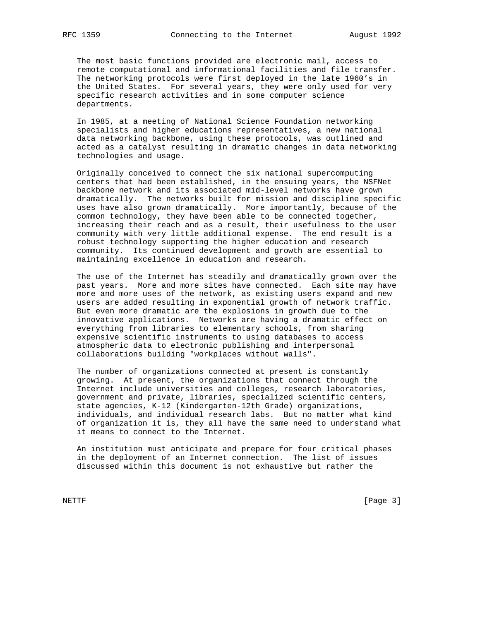The most basic functions provided are electronic mail, access to remote computational and informational facilities and file transfer. The networking protocols were first deployed in the late 1960's in the United States. For several years, they were only used for very specific research activities and in some computer science departments.

 In 1985, at a meeting of National Science Foundation networking specialists and higher educations representatives, a new national data networking backbone, using these protocols, was outlined and acted as a catalyst resulting in dramatic changes in data networking technologies and usage.

 Originally conceived to connect the six national supercomputing centers that had been established, in the ensuing years, the NSFNet backbone network and its associated mid-level networks have grown dramatically. The networks built for mission and discipline specific uses have also grown dramatically. More importantly, because of the common technology, they have been able to be connected together, increasing their reach and as a result, their usefulness to the user community with very little additional expense. The end result is a robust technology supporting the higher education and research community. Its continued development and growth are essential to maintaining excellence in education and research.

 The use of the Internet has steadily and dramatically grown over the past years. More and more sites have connected. Each site may have more and more uses of the network, as existing users expand and new users are added resulting in exponential growth of network traffic. But even more dramatic are the explosions in growth due to the innovative applications. Networks are having a dramatic effect on everything from libraries to elementary schools, from sharing expensive scientific instruments to using databases to access atmospheric data to electronic publishing and interpersonal collaborations building "workplaces without walls".

 The number of organizations connected at present is constantly growing. At present, the organizations that connect through the Internet include universities and colleges, research laboratories, government and private, libraries, specialized scientific centers, state agencies, K-12 (Kindergarten-12th Grade) organizations, individuals, and individual research labs. But no matter what kind of organization it is, they all have the same need to understand what it means to connect to the Internet.

 An institution must anticipate and prepare for four critical phases in the deployment of an Internet connection. The list of issues discussed within this document is not exhaustive but rather the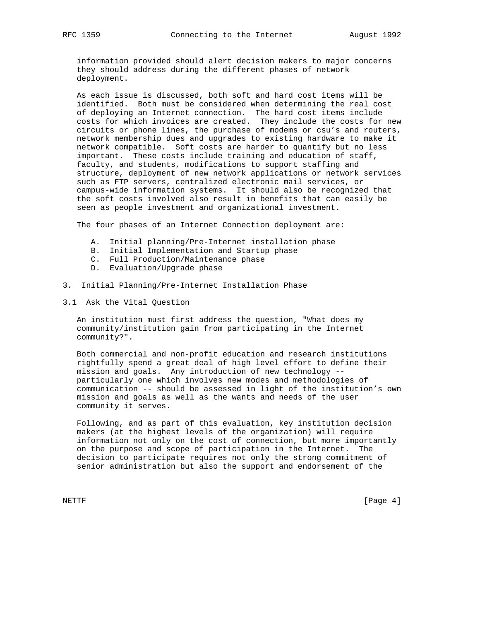information provided should alert decision makers to major concerns they should address during the different phases of network deployment.

 As each issue is discussed, both soft and hard cost items will be identified. Both must be considered when determining the real cost of deploying an Internet connection. The hard cost items include costs for which invoices are created. They include the costs for new circuits or phone lines, the purchase of modems or csu's and routers, network membership dues and upgrades to existing hardware to make it network compatible. Soft costs are harder to quantify but no less important. These costs include training and education of staff, faculty, and students, modifications to support staffing and structure, deployment of new network applications or network services such as FTP servers, centralized electronic mail services, or campus-wide information systems. It should also be recognized that the soft costs involved also result in benefits that can easily be seen as people investment and organizational investment.

The four phases of an Internet Connection deployment are:

- A. Initial planning/Pre-Internet installation phase
- B. Initial Implementation and Startup phase
- C. Full Production/Maintenance phase
- D. Evaluation/Upgrade phase
- 3. Initial Planning/Pre-Internet Installation Phase
- 3.1 Ask the Vital Question

 An institution must first address the question, "What does my community/institution gain from participating in the Internet community?".

 Both commercial and non-profit education and research institutions rightfully spend a great deal of high level effort to define their mission and goals. Any introduction of new technology - particularly one which involves new modes and methodologies of communication -- should be assessed in light of the institution's own mission and goals as well as the wants and needs of the user community it serves.

 Following, and as part of this evaluation, key institution decision makers (at the highest levels of the organization) will require information not only on the cost of connection, but more importantly on the purpose and scope of participation in the Internet. The decision to participate requires not only the strong commitment of senior administration but also the support and endorsement of the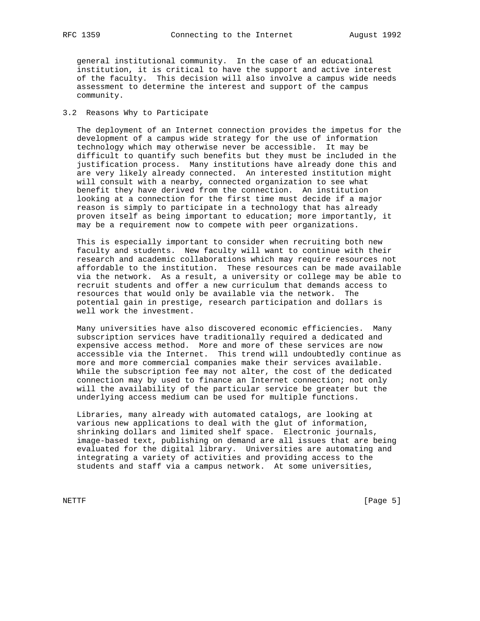general institutional community. In the case of an educational institution, it is critical to have the support and active interest of the faculty. This decision will also involve a campus wide needs assessment to determine the interest and support of the campus community.

# 3.2 Reasons Why to Participate

 The deployment of an Internet connection provides the impetus for the development of a campus wide strategy for the use of information technology which may otherwise never be accessible. It may be difficult to quantify such benefits but they must be included in the justification process. Many institutions have already done this and are very likely already connected. An interested institution might will consult with a nearby, connected organization to see what benefit they have derived from the connection. An institution looking at a connection for the first time must decide if a major reason is simply to participate in a technology that has already proven itself as being important to education; more importantly, it may be a requirement now to compete with peer organizations.

 This is especially important to consider when recruiting both new faculty and students. New faculty will want to continue with their research and academic collaborations which may require resources not affordable to the institution. These resources can be made available via the network. As a result, a university or college may be able to recruit students and offer a new curriculum that demands access to resources that would only be available via the network. The potential gain in prestige, research participation and dollars is well work the investment.

 Many universities have also discovered economic efficiencies. Many subscription services have traditionally required a dedicated and expensive access method. More and more of these services are now accessible via the Internet. This trend will undoubtedly continue as more and more commercial companies make their services available. While the subscription fee may not alter, the cost of the dedicated connection may by used to finance an Internet connection; not only will the availability of the particular service be greater but the underlying access medium can be used for multiple functions.

 Libraries, many already with automated catalogs, are looking at various new applications to deal with the glut of information, shrinking dollars and limited shelf space. Electronic journals, image-based text, publishing on demand are all issues that are being evaluated for the digital library. Universities are automating and integrating a variety of activities and providing access to the students and staff via a campus network. At some universities,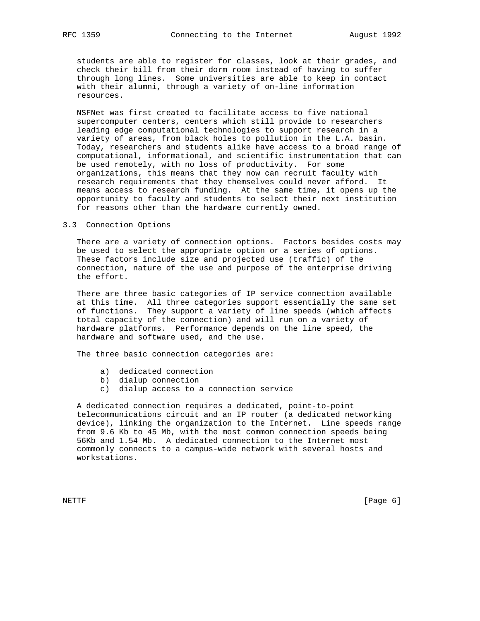students are able to register for classes, look at their grades, and check their bill from their dorm room instead of having to suffer through long lines. Some universities are able to keep in contact with their alumni, through a variety of on-line information resources.

 NSFNet was first created to facilitate access to five national supercomputer centers, centers which still provide to researchers leading edge computational technologies to support research in a variety of areas, from black holes to pollution in the L.A. basin. Today, researchers and students alike have access to a broad range of computational, informational, and scientific instrumentation that can be used remotely, with no loss of productivity. For some organizations, this means that they now can recruit faculty with research requirements that they themselves could never afford. It means access to research funding. At the same time, it opens up the opportunity to faculty and students to select their next institution for reasons other than the hardware currently owned.

# 3.3 Connection Options

 There are a variety of connection options. Factors besides costs may be used to select the appropriate option or a series of options. These factors include size and projected use (traffic) of the connection, nature of the use and purpose of the enterprise driving the effort.

 There are three basic categories of IP service connection available at this time. All three categories support essentially the same set of functions. They support a variety of line speeds (which affects total capacity of the connection) and will run on a variety of hardware platforms. Performance depends on the line speed, the hardware and software used, and the use.

The three basic connection categories are:

- a) dedicated connection
- b) dialup connection
- c) dialup access to a connection service

 A dedicated connection requires a dedicated, point-to-point telecommunications circuit and an IP router (a dedicated networking device), linking the organization to the Internet. Line speeds range from 9.6 Kb to 45 Mb, with the most common connection speeds being 56Kb and 1.54 Mb. A dedicated connection to the Internet most commonly connects to a campus-wide network with several hosts and workstations.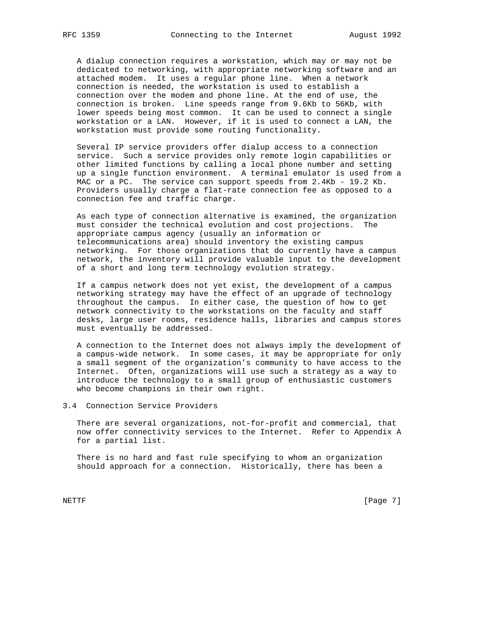A dialup connection requires a workstation, which may or may not be dedicated to networking, with appropriate networking software and an attached modem. It uses a regular phone line. When a network connection is needed, the workstation is used to establish a connection over the modem and phone line. At the end of use, the connection is broken. Line speeds range from 9.6Kb to 56Kb, with lower speeds being most common. It can be used to connect a single workstation or a LAN. However, if it is used to connect a LAN, the workstation must provide some routing functionality.

 Several IP service providers offer dialup access to a connection service. Such a service provides only remote login capabilities or other limited functions by calling a local phone number and setting up a single function environment. A terminal emulator is used from a MAC or a PC. The service can support speeds from 2.4Kb - 19.2 Kb. Providers usually charge a flat-rate connection fee as opposed to a connection fee and traffic charge.

 As each type of connection alternative is examined, the organization must consider the technical evolution and cost projections. The appropriate campus agency (usually an information or telecommunications area) should inventory the existing campus networking. For those organizations that do currently have a campus network, the inventory will provide valuable input to the development of a short and long term technology evolution strategy.

 If a campus network does not yet exist, the development of a campus networking strategy may have the effect of an upgrade of technology throughout the campus. In either case, the question of how to get network connectivity to the workstations on the faculty and staff desks, large user rooms, residence halls, libraries and campus stores must eventually be addressed.

 A connection to the Internet does not always imply the development of a campus-wide network. In some cases, it may be appropriate for only a small segment of the organization's community to have access to the Internet. Often, organizations will use such a strategy as a way to introduce the technology to a small group of enthusiastic customers who become champions in their own right.

3.4 Connection Service Providers

 There are several organizations, not-for-profit and commercial, that now offer connectivity services to the Internet. Refer to Appendix A for a partial list.

 There is no hard and fast rule specifying to whom an organization should approach for a connection. Historically, there has been a

NETTF [Page 7]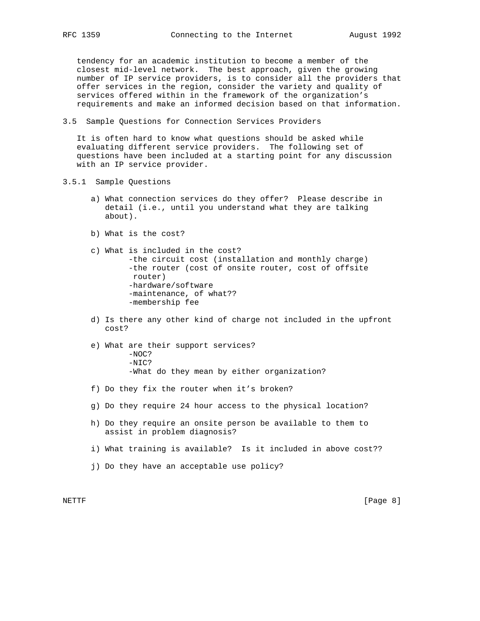tendency for an academic institution to become a member of the closest mid-level network. The best approach, given the growing number of IP service providers, is to consider all the providers that offer services in the region, consider the variety and quality of services offered within in the framework of the organization's requirements and make an informed decision based on that information.

3.5 Sample Questions for Connection Services Providers

 It is often hard to know what questions should be asked while evaluating different service providers. The following set of questions have been included at a starting point for any discussion with an IP service provider.

- 3.5.1 Sample Questions
	- a) What connection services do they offer? Please describe in detail (i.e., until you understand what they are talking about).
	- b) What is the cost?
	- c) What is included in the cost? -the circuit cost (installation and monthly charge) -the router (cost of onsite router, cost of offsite router) -hardware/software -maintenance, of what?? -membership fee
	- d) Is there any other kind of charge not included in the upfront cost?
	- e) What are their support services? -NOC?  $-NTC$ ? -What do they mean by either organization?
	- f) Do they fix the router when it's broken?
	- g) Do they require 24 hour access to the physical location?
	- h) Do they require an onsite person be available to them to assist in problem diagnosis?
	- i) What training is available? Is it included in above cost??
	- j) Do they have an acceptable use policy?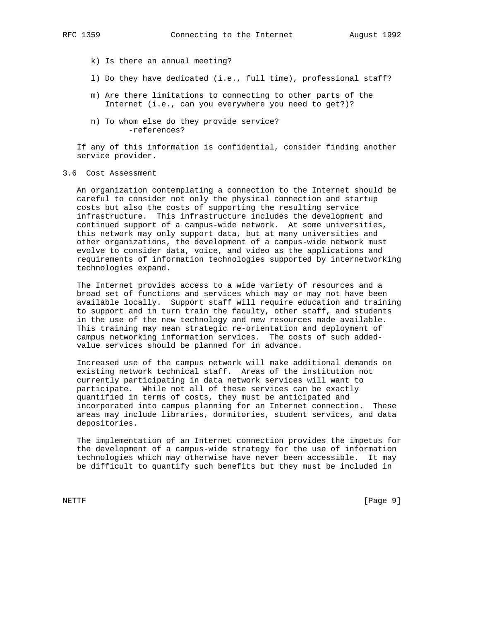- - k) Is there an annual meeting?
	- l) Do they have dedicated (i.e., full time), professional staff?
	- m) Are there limitations to connecting to other parts of the Internet (i.e., can you everywhere you need to get?)?
	- n) To whom else do they provide service? -references?

 If any of this information is confidential, consider finding another service provider.

# 3.6 Cost Assessment

 An organization contemplating a connection to the Internet should be careful to consider not only the physical connection and startup costs but also the costs of supporting the resulting service infrastructure. This infrastructure includes the development and continued support of a campus-wide network. At some universities, this network may only support data, but at many universities and other organizations, the development of a campus-wide network must evolve to consider data, voice, and video as the applications and requirements of information technologies supported by internetworking technologies expand.

 The Internet provides access to a wide variety of resources and a broad set of functions and services which may or may not have been available locally. Support staff will require education and training to support and in turn train the faculty, other staff, and students in the use of the new technology and new resources made available. This training may mean strategic re-orientation and deployment of campus networking information services. The costs of such added value services should be planned for in advance.

 Increased use of the campus network will make additional demands on existing network technical staff. Areas of the institution not currently participating in data network services will want to participate. While not all of these services can be exactly quantified in terms of costs, they must be anticipated and incorporated into campus planning for an Internet connection. These areas may include libraries, dormitories, student services, and data depositories.

 The implementation of an Internet connection provides the impetus for the development of a campus-wide strategy for the use of information technologies which may otherwise have never been accessible. It may be difficult to quantify such benefits but they must be included in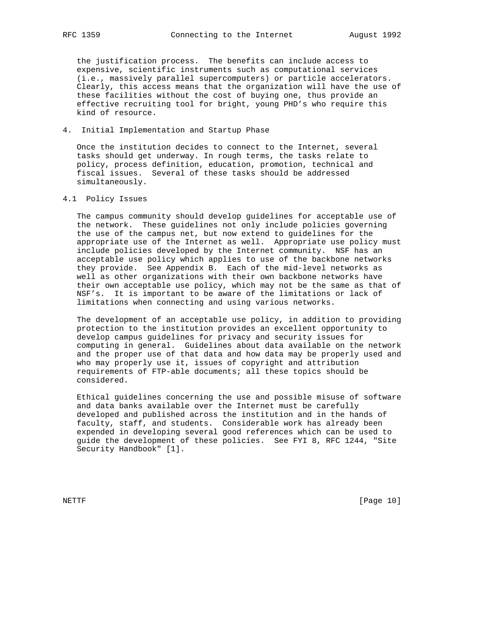the justification process. The benefits can include access to expensive, scientific instruments such as computational services (i.e., massively parallel supercomputers) or particle accelerators. Clearly, this access means that the organization will have the use of these facilities without the cost of buying one, thus provide an effective recruiting tool for bright, young PHD's who require this kind of resource.

# 4. Initial Implementation and Startup Phase

 Once the institution decides to connect to the Internet, several tasks should get underway. In rough terms, the tasks relate to policy, process definition, education, promotion, technical and fiscal issues. Several of these tasks should be addressed simultaneously.

# 4.1 Policy Issues

 The campus community should develop guidelines for acceptable use of the network. These guidelines not only include policies governing the use of the campus net, but now extend to guidelines for the appropriate use of the Internet as well. Appropriate use policy must include policies developed by the Internet community. NSF has an acceptable use policy which applies to use of the backbone networks they provide. See Appendix B. Each of the mid-level networks as well as other organizations with their own backbone networks have their own acceptable use policy, which may not be the same as that of NSF's. It is important to be aware of the limitations or lack of limitations when connecting and using various networks.

 The development of an acceptable use policy, in addition to providing protection to the institution provides an excellent opportunity to develop campus guidelines for privacy and security issues for computing in general. Guidelines about data available on the network and the proper use of that data and how data may be properly used and who may properly use it, issues of copyright and attribution requirements of FTP-able documents; all these topics should be considered.

 Ethical guidelines concerning the use and possible misuse of software and data banks available over the Internet must be carefully developed and published across the institution and in the hands of faculty, staff, and students. Considerable work has already been expended in developing several good references which can be used to guide the development of these policies. See FYI 8, RFC 1244, "Site Security Handbook" [1].

NETTF [Page 10]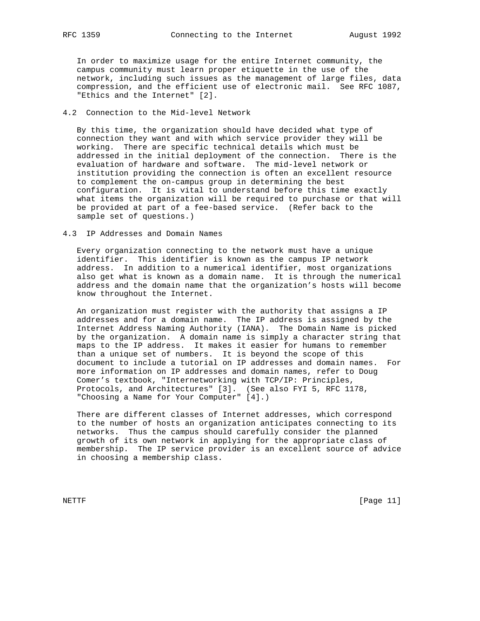In order to maximize usage for the entire Internet community, the campus community must learn proper etiquette in the use of the network, including such issues as the management of large files, data compression, and the efficient use of electronic mail. See RFC 1087, "Ethics and the Internet" [2].

# 4.2 Connection to the Mid-level Network

 By this time, the organization should have decided what type of connection they want and with which service provider they will be working. There are specific technical details which must be addressed in the initial deployment of the connection. There is the evaluation of hardware and software. The mid-level network or institution providing the connection is often an excellent resource to complement the on-campus group in determining the best configuration. It is vital to understand before this time exactly what items the organization will be required to purchase or that will be provided at part of a fee-based service. (Refer back to the sample set of questions.)

#### 4.3 IP Addresses and Domain Names

 Every organization connecting to the network must have a unique identifier. This identifier is known as the campus IP network address. In addition to a numerical identifier, most organizations also get what is known as a domain name. It is through the numerical address and the domain name that the organization's hosts will become know throughout the Internet.

 An organization must register with the authority that assigns a IP addresses and for a domain name. The IP address is assigned by the Internet Address Naming Authority (IANA). The Domain Name is picked by the organization. A domain name is simply a character string that maps to the IP address. It makes it easier for humans to remember than a unique set of numbers. It is beyond the scope of this document to include a tutorial on IP addresses and domain names. For more information on IP addresses and domain names, refer to Doug Comer's textbook, "Internetworking with TCP/IP: Principles, Protocols, and Architectures" [3]. (See also FYI 5, RFC 1178, "Choosing a Name for Your Computer" [4].)

 There are different classes of Internet addresses, which correspond to the number of hosts an organization anticipates connecting to its networks. Thus the campus should carefully consider the planned growth of its own network in applying for the appropriate class of membership. The IP service provider is an excellent source of advice in choosing a membership class.

NETTF [Page 11]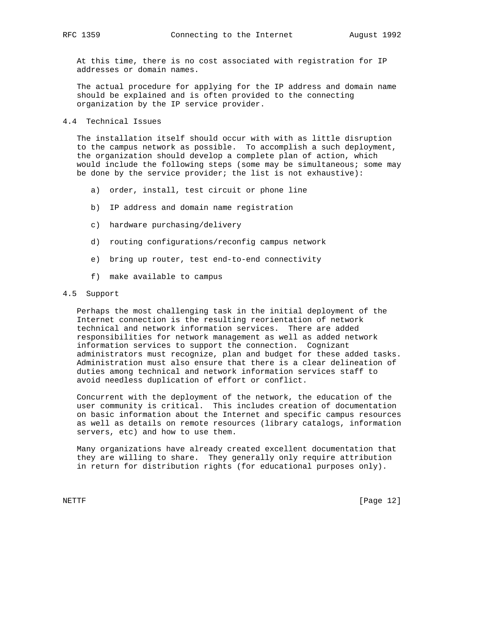At this time, there is no cost associated with registration for IP addresses or domain names.

 The actual procedure for applying for the IP address and domain name should be explained and is often provided to the connecting organization by the IP service provider.

# 4.4 Technical Issues

 The installation itself should occur with with as little disruption to the campus network as possible. To accomplish a such deployment, the organization should develop a complete plan of action, which would include the following steps (some may be simultaneous; some may be done by the service provider; the list is not exhaustive):

- a) order, install, test circuit or phone line
- b) IP address and domain name registration
- c) hardware purchasing/delivery
- d) routing configurations/reconfig campus network
- e) bring up router, test end-to-end connectivity
- f) make available to campus

# 4.5 Support

 Perhaps the most challenging task in the initial deployment of the Internet connection is the resulting reorientation of network technical and network information services. There are added responsibilities for network management as well as added network information services to support the connection. Cognizant administrators must recognize, plan and budget for these added tasks. Administration must also ensure that there is a clear delineation of duties among technical and network information services staff to avoid needless duplication of effort or conflict.

 Concurrent with the deployment of the network, the education of the user community is critical. This includes creation of documentation on basic information about the Internet and specific campus resources as well as details on remote resources (library catalogs, information servers, etc) and how to use them.

 Many organizations have already created excellent documentation that they are willing to share. They generally only require attribution in return for distribution rights (for educational purposes only).

NETTF [Page 12]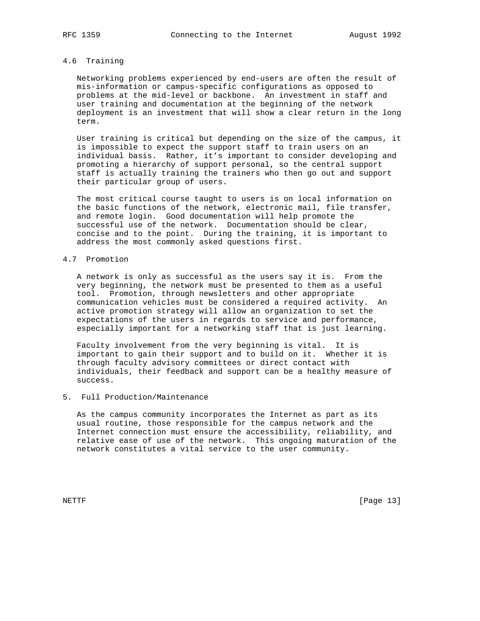# 4.6 Training

 Networking problems experienced by end-users are often the result of mis-information or campus-specific configurations as opposed to problems at the mid-level or backbone. An investment in staff and user training and documentation at the beginning of the network deployment is an investment that will show a clear return in the long term.

 User training is critical but depending on the size of the campus, it is impossible to expect the support staff to train users on an individual basis. Rather, it's important to consider developing and promoting a hierarchy of support personal, so the central support staff is actually training the trainers who then go out and support their particular group of users.

 The most critical course taught to users is on local information on the basic functions of the network, electronic mail, file transfer, and remote login. Good documentation will help promote the successful use of the network. Documentation should be clear, concise and to the point. During the training, it is important to address the most commonly asked questions first.

## 4.7 Promotion

 A network is only as successful as the users say it is. From the very beginning, the network must be presented to them as a useful tool. Promotion, through newsletters and other appropriate communication vehicles must be considered a required activity. An active promotion strategy will allow an organization to set the expectations of the users in regards to service and performance, especially important for a networking staff that is just learning.

 Faculty involvement from the very beginning is vital. It is important to gain their support and to build on it. Whether it is through faculty advisory committees or direct contact with individuals, their feedback and support can be a healthy measure of success.

# 5. Full Production/Maintenance

 As the campus community incorporates the Internet as part as its usual routine, those responsible for the campus network and the Internet connection must ensure the accessibility, reliability, and relative ease of use of the network. This ongoing maturation of the network constitutes a vital service to the user community.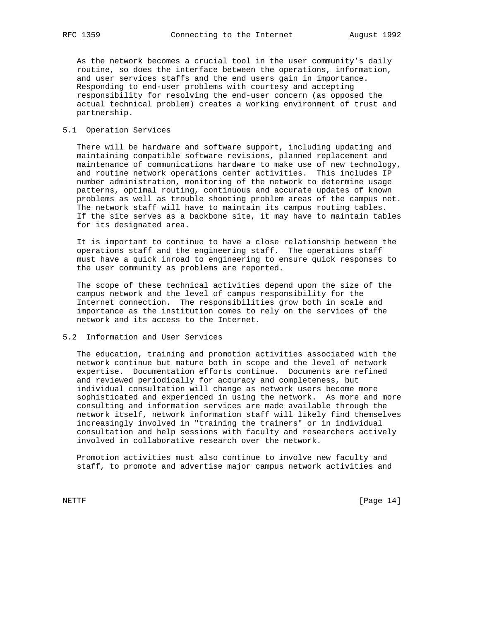As the network becomes a crucial tool in the user community's daily routine, so does the interface between the operations, information, and user services staffs and the end users gain in importance. Responding to end-user problems with courtesy and accepting responsibility for resolving the end-user concern (as opposed the actual technical problem) creates a working environment of trust and partnership.

# 5.1 Operation Services

 There will be hardware and software support, including updating and maintaining compatible software revisions, planned replacement and maintenance of communications hardware to make use of new technology, and routine network operations center activities. This includes IP number administration, monitoring of the network to determine usage patterns, optimal routing, continuous and accurate updates of known problems as well as trouble shooting problem areas of the campus net. The network staff will have to maintain its campus routing tables. If the site serves as a backbone site, it may have to maintain tables for its designated area.

 It is important to continue to have a close relationship between the operations staff and the engineering staff. The operations staff must have a quick inroad to engineering to ensure quick responses to the user community as problems are reported.

 The scope of these technical activities depend upon the size of the campus network and the level of campus responsibility for the Internet connection. The responsibilities grow both in scale and importance as the institution comes to rely on the services of the network and its access to the Internet.

# 5.2 Information and User Services

 The education, training and promotion activities associated with the network continue but mature both in scope and the level of network expertise. Documentation efforts continue. Documents are refined and reviewed periodically for accuracy and completeness, but individual consultation will change as network users become more sophisticated and experienced in using the network. As more and more consulting and information services are made available through the network itself, network information staff will likely find themselves increasingly involved in "training the trainers" or in individual consultation and help sessions with faculty and researchers actively involved in collaborative research over the network.

 Promotion activities must also continue to involve new faculty and staff, to promote and advertise major campus network activities and

NETTF [Page 14]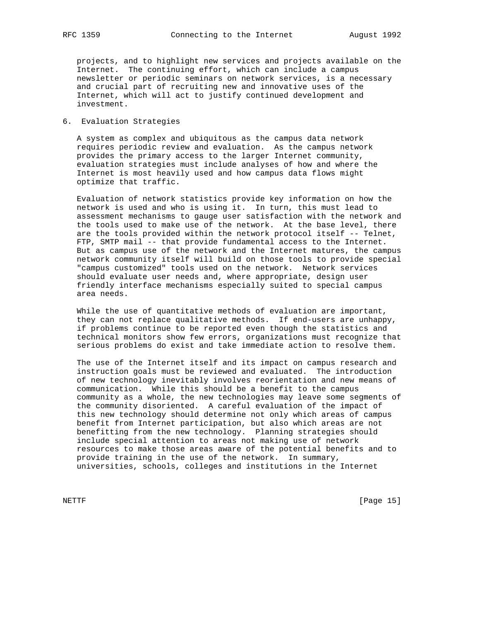projects, and to highlight new services and projects available on the Internet. The continuing effort, which can include a campus newsletter or periodic seminars on network services, is a necessary and crucial part of recruiting new and innovative uses of the Internet, which will act to justify continued development and investment.

6. Evaluation Strategies

 A system as complex and ubiquitous as the campus data network requires periodic review and evaluation. As the campus network provides the primary access to the larger Internet community, evaluation strategies must include analyses of how and where the Internet is most heavily used and how campus data flows might optimize that traffic.

 Evaluation of network statistics provide key information on how the network is used and who is using it. In turn, this must lead to assessment mechanisms to gauge user satisfaction with the network and the tools used to make use of the network. At the base level, there are the tools provided within the network protocol itself -- Telnet, FTP, SMTP mail -- that provide fundamental access to the Internet. But as campus use of the network and the Internet matures, the campus network community itself will build on those tools to provide special "campus customized" tools used on the network. Network services should evaluate user needs and, where appropriate, design user friendly interface mechanisms especially suited to special campus area needs.

 While the use of quantitative methods of evaluation are important, they can not replace qualitative methods. If end-users are unhappy, if problems continue to be reported even though the statistics and technical monitors show few errors, organizations must recognize that serious problems do exist and take immediate action to resolve them.

 The use of the Internet itself and its impact on campus research and instruction goals must be reviewed and evaluated. The introduction of new technology inevitably involves reorientation and new means of communication. While this should be a benefit to the campus community as a whole, the new technologies may leave some segments of the community disoriented. A careful evaluation of the impact of this new technology should determine not only which areas of campus benefit from Internet participation, but also which areas are not benefitting from the new technology. Planning strategies should include special attention to areas not making use of network resources to make those areas aware of the potential benefits and to provide training in the use of the network. In summary, universities, schools, colleges and institutions in the Internet

NETTF [Page 15]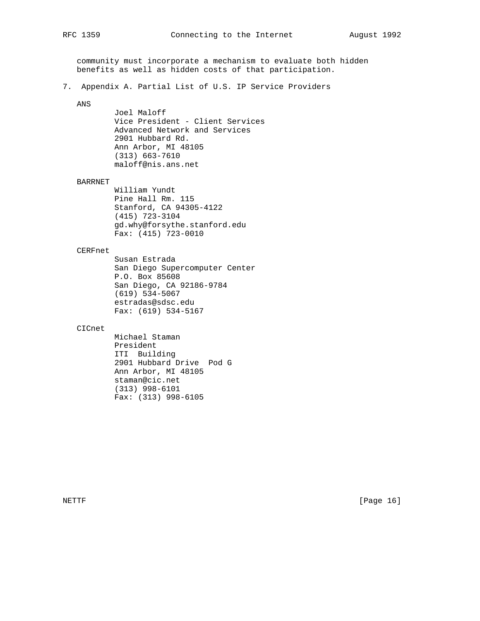community must incorporate a mechanism to evaluate both hidden benefits as well as hidden costs of that participation.

7. Appendix A. Partial List of U.S. IP Service Providers

# ANS

 Joel Maloff Vice President - Client Services Advanced Network and Services 2901 Hubbard Rd. Ann Arbor, MI 48105 (313) 663-7610 maloff@nis.ans.net

#### BARRNET

 William Yundt Pine Hall Rm. 115 Stanford, CA 94305-4122 (415) 723-3104 gd.why@forsythe.stanford.edu Fax: (415) 723-0010

# CERFnet

 Susan Estrada San Diego Supercomputer Center P.O. Box 85608 San Diego, CA 92186-9784 (619) 534-5067 estradas@sdsc.edu Fax: (619) 534-5167

# CICnet

 Michael Staman President ITI Building 2901 Hubbard Drive Pod G Ann Arbor, MI 48105 staman@cic.net (313) 998-6101 Fax: (313) 998-6105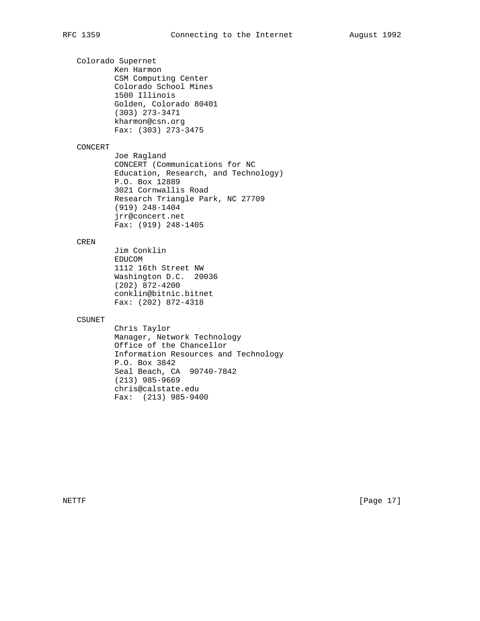Colorado Supernet Ken Harmon CSM Computing Center Colorado School Mines 1500 Illinois Golden, Colorado 80401 (303) 273-3471 kharmon@csn.org Fax: (303) 273-3475

# CONCERT

 Joe Ragland CONCERT (Communications for NC Education, Research, and Technology) P.O. Box 12889 3021 Cornwallis Road Research Triangle Park, NC 27709 (919) 248-1404 jrr@concert.net Fax: (919) 248-1405

# CREN

 Jim Conklin EDUCOM 1112 16th Street NW Washington D.C. 20036 (202) 872-4200 conklin@bitnic.bitnet Fax: (202) 872-4318

# CSUNET

 Chris Taylor Manager, Network Technology Office of the Chancellor Information Resources and Technology P.O. Box 3842 Seal Beach, CA 90740-7842 (213) 985-9669 chris@calstate.edu Fax: (213) 985-9400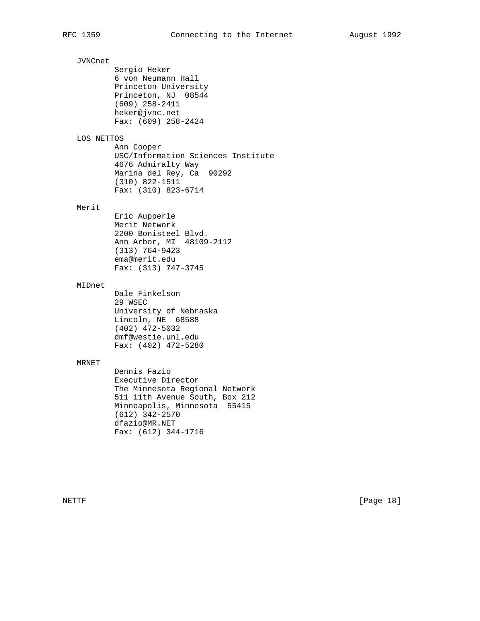JVNCnet Sergio Heker 6 von Neumann Hall Princeton University Princeton, NJ 08544 (609) 258-2411 heker@jvnc.net Fax: (609) 258-2424 LOS NETTOS Ann Cooper USC/Information Sciences Institute 4676 Admiralty Way Marina del Rey, Ca 90292 (310) 822-1511 Fax: (310) 823-6714 Merit Eric Aupperle Merit Network 2200 Bonisteel Blvd. Ann Arbor, MI 48109-2112 (313) 764-9423 ema@merit.edu Fax: (313) 747-3745 MIDnet Dale Finkelson 29 WSEC University of Nebraska Lincoln, NE 68588 (402) 472-5032 dmf@westie.unl.edu Fax: (402) 472-5280 MRNET Dennis Fazio Executive Director The Minnesota Regional Network 511 11th Avenue South, Box 212 Minneapolis, Minnesota 55415 (612) 342-2570 dfazio@MR.NET Fax: (612) 344-1716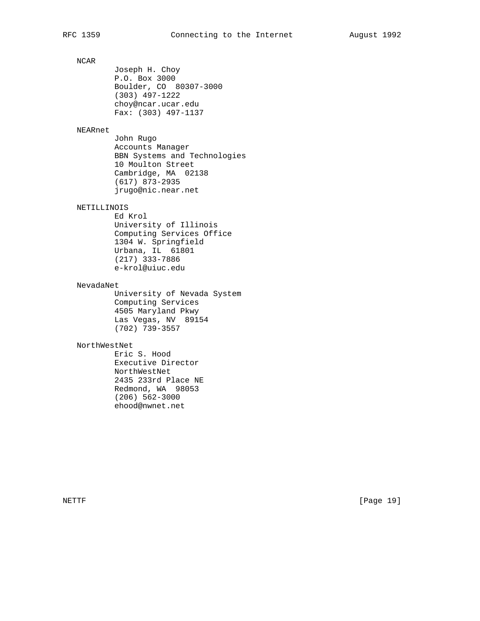# NCAR

 Joseph H. Choy P.O. Box 3000 Boulder, CO 80307-3000 (303) 497-1222 choy@ncar.ucar.edu Fax: (303) 497-1137

# NEARnet

 John Rugo Accounts Manager BBN Systems and Technologies 10 Moulton Street Cambridge, MA 02138 (617) 873-2935 jrugo@nic.near.net

# NETILLINOIS

 Ed Krol University of Illinois Computing Services Office 1304 W. Springfield Urbana, IL 61801 (217) 333-7886 e-krol@uiuc.edu

# NevadaNet

 University of Nevada System Computing Services 4505 Maryland Pkwy Las Vegas, NV 89154 (702) 739-3557

# NorthWestNet

 Eric S. Hood Executive Director NorthWestNet 2435 233rd Place NE Redmond, WA 98053 (206) 562-3000 ehood@nwnet.net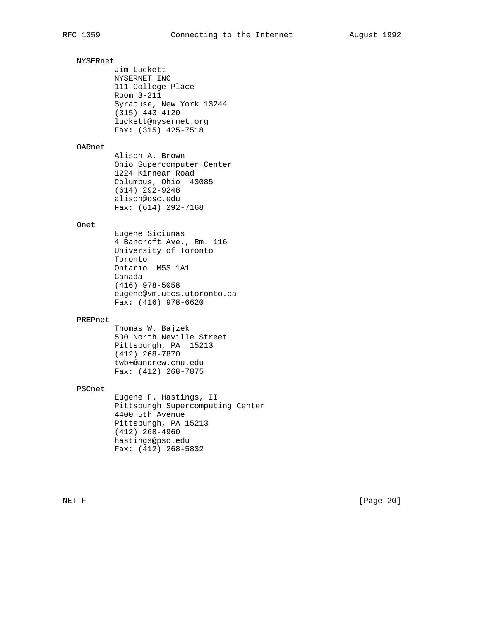NYSERnet Jim Luckett NYSERNET INC 111 College Place Room 3-211 Syracuse, New York 13244 (315) 443-4120 luckett@nysernet.org Fax: (315) 425-7518 OARnet Alison A. Brown Ohio Supercomputer Center 1224 Kinnear Road Columbus, Ohio 43085 (614) 292-9248 alison@osc.edu Fax: (614) 292-7168 Onet Eugene Siciunas 4 Bancroft Ave., Rm. 116 University of Toronto Toronto Ontario M5S 1A1 Canada (416) 978-5058 eugene@vm.utcs.utoronto.ca Fax: (416) 978-6620 PREPnet Thomas W. Bajzek 530 North Neville Street Pittsburgh, PA 15213 (412) 268-7870 twb+@andrew.cmu.edu Fax: (412) 268-7875 PSCnet Eugene F. Hastings, II Pittsburgh Supercomputing Center 4400 5th Avenue Pittsburgh, PA 15213 (412) 268-4960 hastings@psc.edu Fax: (412) 268-5832 NETTF [Page 20]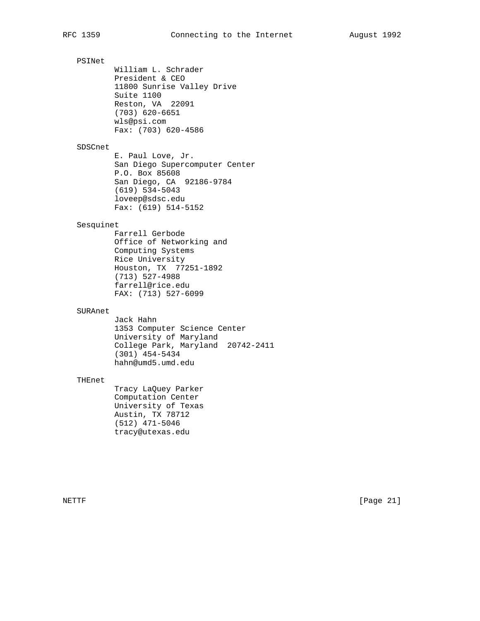PSINet William L. Schrader President & CEO 11800 Sunrise Valley Drive Suite 1100 Reston, VA 22091 (703) 620-6651 wls@psi.com Fax: (703) 620-4586 SDSCnet E. Paul Love, Jr. San Diego Supercomputer Center P.O. Box 85608 San Diego, CA 92186-9784 (619) 534-5043 loveep@sdsc.edu Fax: (619) 514-5152 Sesquinet Farrell Gerbode Office of Networking and Computing Systems Rice University Houston, TX 77251-1892 (713) 527-4988 farrell@rice.edu FAX: (713) 527-6099 SURAnet Jack Hahn 1353 Computer Science Center University of Maryland College Park, Maryland 20742-2411 (301) 454-5434 hahn@umd5.umd.edu THEnet

 Tracy LaQuey Parker Computation Center University of Texas Austin, TX 78712 (512) 471-5046

tracy@utexas.edu

NETTF [Page 21]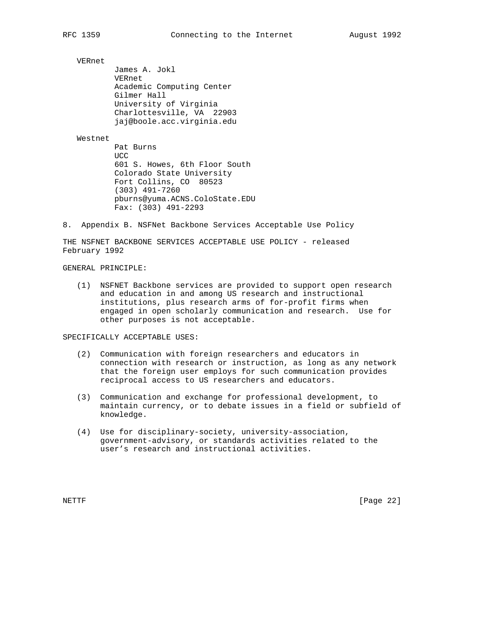VERnet

 James A. Jokl VERnet Academic Computing Center Gilmer Hall University of Virginia Charlottesville, VA 22903 jaj@boole.acc.virginia.edu

# Westnet

 Pat Burns **UCC**  601 S. Howes, 6th Floor South Colorado State University Fort Collins, CO 80523 (303) 491-7260 pburns@yuma.ACNS.ColoState.EDU Fax: (303) 491-2293

8. Appendix B. NSFNet Backbone Services Acceptable Use Policy

THE NSFNET BACKBONE SERVICES ACCEPTABLE USE POLICY - released February 1992

# GENERAL PRINCIPLE:

 (1) NSFNET Backbone services are provided to support open research and education in and among US research and instructional institutions, plus research arms of for-profit firms when engaged in open scholarly communication and research. Use for other purposes is not acceptable.

SPECIFICALLY ACCEPTABLE USES:

- (2) Communication with foreign researchers and educators in connection with research or instruction, as long as any network that the foreign user employs for such communication provides reciprocal access to US researchers and educators.
- (3) Communication and exchange for professional development, to maintain currency, or to debate issues in a field or subfield of knowledge.
- (4) Use for disciplinary-society, university-association, government-advisory, or standards activities related to the user's research and instructional activities.

NETTF [Page 22]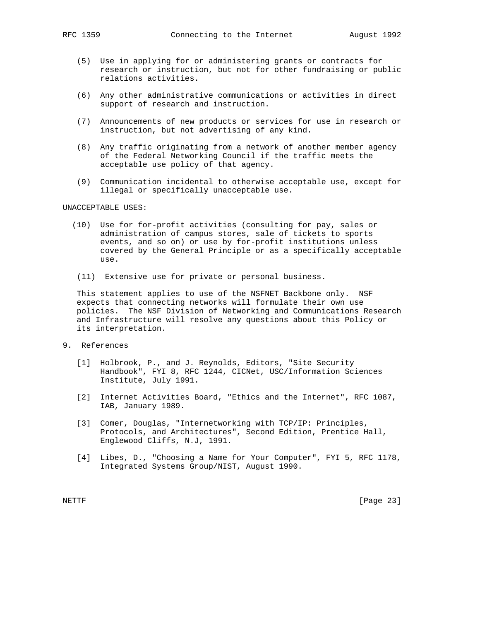- (5) Use in applying for or administering grants or contracts for research or instruction, but not for other fundraising or public relations activities.
- (6) Any other administrative communications or activities in direct support of research and instruction.
- (7) Announcements of new products or services for use in research or instruction, but not advertising of any kind.
- (8) Any traffic originating from a network of another member agency of the Federal Networking Council if the traffic meets the acceptable use policy of that agency.
- (9) Communication incidental to otherwise acceptable use, except for illegal or specifically unacceptable use.

UNACCEPTABLE USES:

- (10) Use for for-profit activities (consulting for pay, sales or administration of campus stores, sale of tickets to sports events, and so on) or use by for-profit institutions unless covered by the General Principle or as a specifically acceptable use.
- (11) Extensive use for private or personal business.

 This statement applies to use of the NSFNET Backbone only. NSF expects that connecting networks will formulate their own use policies. The NSF Division of Networking and Communications Research and Infrastructure will resolve any questions about this Policy or its interpretation.

- 9. References
	- [1] Holbrook, P., and J. Reynolds, Editors, "Site Security Handbook", FYI 8, RFC 1244, CICNet, USC/Information Sciences Institute, July 1991.
	- [2] Internet Activities Board, "Ethics and the Internet", RFC 1087, IAB, January 1989.
	- [3] Comer, Douglas, "Internetworking with TCP/IP: Principles, Protocols, and Architectures", Second Edition, Prentice Hall, Englewood Cliffs, N.J, 1991.
	- [4] Libes, D., "Choosing a Name for Your Computer", FYI 5, RFC 1178, Integrated Systems Group/NIST, August 1990.

NETTF [Page 23]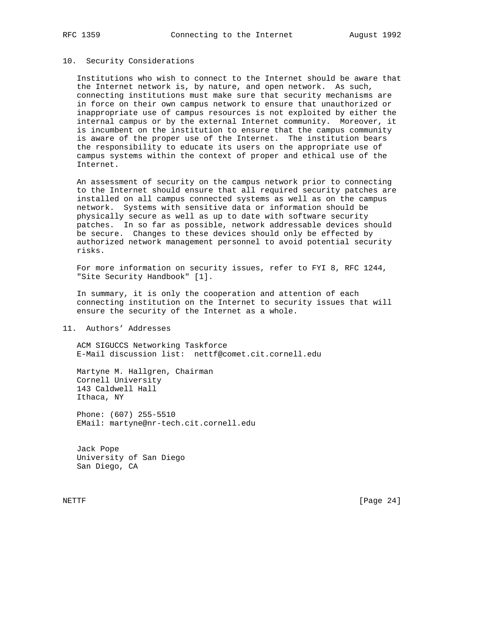## 10. Security Considerations

 Institutions who wish to connect to the Internet should be aware that the Internet network is, by nature, and open network. As such, connecting institutions must make sure that security mechanisms are in force on their own campus network to ensure that unauthorized or inappropriate use of campus resources is not exploited by either the internal campus or by the external Internet community. Moreover, it is incumbent on the institution to ensure that the campus community is aware of the proper use of the Internet. The institution bears the responsibility to educate its users on the appropriate use of campus systems within the context of proper and ethical use of the Internet.

 An assessment of security on the campus network prior to connecting to the Internet should ensure that all required security patches are installed on all campus connected systems as well as on the campus network. Systems with sensitive data or information should be physically secure as well as up to date with software security patches. In so far as possible, network addressable devices should be secure. Changes to these devices should only be effected by authorized network management personnel to avoid potential security risks.

 For more information on security issues, refer to FYI 8, RFC 1244, "Site Security Handbook" [1].

 In summary, it is only the cooperation and attention of each connecting institution on the Internet to security issues that will ensure the security of the Internet as a whole.

11. Authors' Addresses

 ACM SIGUCCS Networking Taskforce E-Mail discussion list: nettf@comet.cit.cornell.edu

 Martyne M. Hallgren, Chairman Cornell University 143 Caldwell Hall Ithaca, NY

 Phone: (607) 255-5510 EMail: martyne@nr-tech.cit.cornell.edu

 Jack Pope University of San Diego San Diego, CA

NETTF [Page 24]